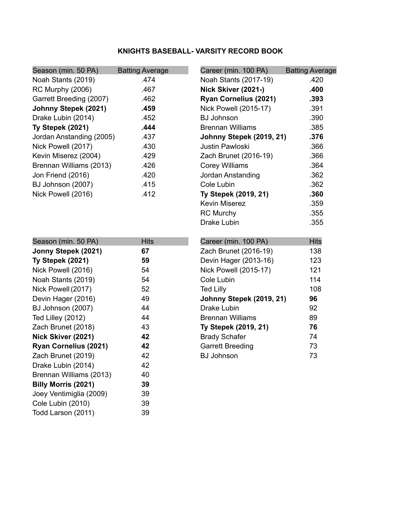### **KNIGHTS BASEBALL- VARSITY RECORD BOOK**

| Season (min. 50 PA)      | <b>Batting Average</b> | Career (min. 100 PA)     | <b>Batting Average</b> |
|--------------------------|------------------------|--------------------------|------------------------|
| Noah Stants (2019)       | .474                   | Noah Stants (2017-19)    | .420                   |
| RC Murphy (2006)         | .467                   | Nick Skiver (2021-)      | .400                   |
| Garrett Breeding (2007)  | .462                   | Ryan Cornelius (2021)    | .393                   |
| Johnny Stepek (2021)     | .459                   | Nick Powell (2015-17)    | .391                   |
| Drake Lubin (2014)       | .452                   | <b>BJ Johnson</b>        | .390                   |
| Ty Stepek (2021)         | .444                   | <b>Brennan Williams</b>  | .385                   |
| Jordan Anstanding (2005) | .437                   | Johnny Stepek (2019, 21) | .376                   |
| Nick Powell (2017)       | .430                   | Justin Pawloski          | .366                   |
| Kevin Miserez (2004)     | .429                   | Zach Brunet (2016-19)    | .366                   |
| Brennan Williams (2013)  | .426                   | <b>Corey Williams</b>    | .364                   |
| Jon Friend (2016)        | .420                   | Jordan Anstanding        | .362                   |
| BJ Johnson (2007)        | .415                   | Cole Lubin               | .362                   |
| Nick Powell (2016)       | .412                   | Ty Stepek (2019, 21)     | .360                   |
|                          |                        | <b>Kevin Miserez</b>     | .359                   |
|                          |                        | <b>RC Murchy</b>         | .355                   |
|                          |                        | Drake Lubin              | .355                   |
|                          |                        |                          |                        |
| Season (min. 50 PA)      | <b>Hits</b>            | Career (min. 100 PA)     | <b>Hits</b>            |
| Jonny Stepek (2021)      | 67                     | Zach Brunet (2016-19)    | 138                    |
| Ty Stepek (2021)         | 59                     | Devin Hager (2013-16)    | 123                    |
| Nick Powell (2016)       | 54                     | Nick Powell (2015-17)    | 121                    |
| Noah Stants (2019)       | 54                     | Cole Lubin               | 114                    |
| Nick Powell (2017)       | 52                     | <b>Ted Lilly</b>         | 108                    |
| Devin Hager (2016)       | 49                     | Johnny Stepek (2019, 21) | 96                     |
| BJ Johnson (2007)        | 44                     | Drake Lubin              | 92                     |
| Ted Lilley (2012)        | 44                     | <b>Brennan Williams</b>  | 89                     |
| Zach Brunet (2018)       | 43                     | Ty Stepek (2019, 21)     | 76                     |
| Nick Skiver (2021)       | 42                     | <b>Brady Schafer</b>     | 74                     |
| Ryan Cornelius (2021)    | 42                     | <b>Garrett Breeding</b>  | 73                     |
| Zach Brunet (2019)       | 42                     | <b>BJ Johnson</b>        | 73                     |
| Drake Lubin (2014)       | 42                     |                          |                        |
| Brennan Williams (2013)  | 40                     |                          |                        |
| Billy Morris (2021)      | 39                     |                          |                        |
| Joey Ventimiglia (2009)  | 39                     |                          |                        |
| Cole Lubin (2010)        | 39                     |                          |                        |
| Todd Larson (2011)       | 39                     |                          |                        |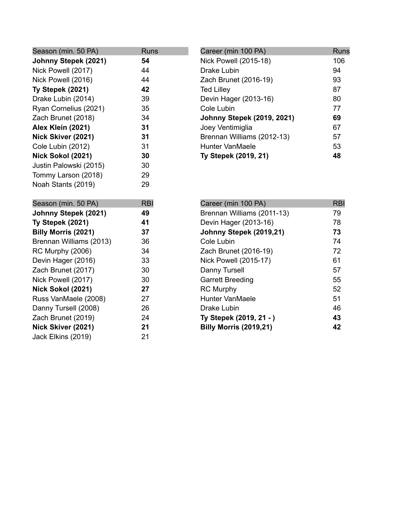| Season (min. 50 PA)        | <b>Runs</b> |
|----------------------------|-------------|
| Johnny Stepek (2021)       | 54          |
| Nick Powell (2017)         | 44          |
| Nick Powell (2016)         | 44          |
| Ty Stepek (2021)           | 42          |
| Drake Lubin (2014)         | 39          |
| Ryan Cornelius (2021)      | 35          |
| Zach Brunet (2018)         | 34          |
| Alex Klein (2021)          | 31          |
| Nick Skiver (2021)         | 31          |
| Cole Lubin (2012)          | 31          |
| Nick Sokol (2021)          | 30          |
| Justin Palowski (2015)     | 30          |
| Tommy Larson (2018)        | 29          |
| Noah Stants (2019)         | 29          |
|                            |             |
|                            |             |
| Season (min. 50 PA)        | <b>RBI</b>  |
| Johnny Stepek (2021)       | 49          |
| Ty Stepek (2021)           | 41          |
| <b>Billy Morris (2021)</b> | 37          |
| Brennan Williams (2013)    | 36          |
| RC Murphy (2006)           | 34          |
| Devin Hager (2016)         | 33          |
| Zach Brunet (2017)         | 30          |
| Nick Powell (2017)         | 30          |
| Nick Sokol (2021)          | 27          |
| Russ VanMaele (2008)       | 27          |
| Danny Tursell (2008)       | 26          |
| Zach Brunet (2019)         | 24          |
| Nick Skiver (2021)         | 21          |

| Career (min 100 PA)               | Runs |
|-----------------------------------|------|
| Nick Powell (2015-18)             | 106  |
| Drake Lubin                       | 94   |
| Zach Brunet (2016-19)             | 93   |
| <b>Ted Lilley</b>                 | 87   |
| Devin Hager (2013-16)             | 80   |
| Cole Lubin                        | 77   |
| <b>Johnny Stepek (2019, 2021)</b> | 69   |
| Joey Ventimiglia                  | 67   |
| Brennan Williams (2012-13)        | 57   |
| Hunter VanMaele                   | 53   |
| Ty Stepek (2019, 21)              | 48   |

| Career (min 100 PA)           | <b>RBI</b> |
|-------------------------------|------------|
| Brennan Williams (2011-13)    | 79         |
| Devin Hager (2013-16)         | 78         |
| Johnny Stepek (2019,21)       | 73         |
| Cole Lubin                    | 74         |
| Zach Brunet (2016-19)         | 72         |
| Nick Powell (2015-17)         | 61         |
| Danny Tursell                 | 57         |
| <b>Garrett Breeding</b>       | 55         |
| <b>RC Murphy</b>              | 52         |
| Hunter VanMaele               | 51         |
| Drake Lubin                   | 46         |
| Ty Stepek (2019, 21 - )       | 43         |
| <b>Billy Morris (2019,21)</b> | 42         |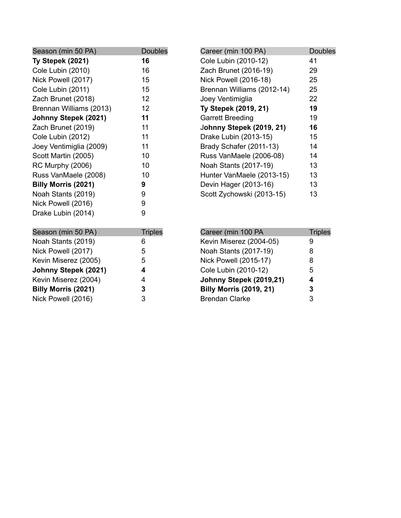| Season (min 50 PA)         | <b>Doubles</b> |
|----------------------------|----------------|
| Ty Stepek (2021)           | 16             |
| Cole Lubin (2010)          | 16             |
| Nick Powell (2017)         | 15             |
| Cole Lubin (2011)          | 15             |
| Zach Brunet (2018)         | 12             |
| Brennan Williams (2013)    | 12             |
| Johnny Stepek (2021)       | 11             |
| Zach Brunet (2019)         | 11             |
| Cole Lubin (2012)          | 11             |
| Joey Ventimiglia (2009)    | 11             |
| Scott Martin (2005)        | 10             |
| <b>RC Murphy (2006)</b>    | 10             |
| Russ VanMaele (2008)       | 10             |
| <b>Billy Morris (2021)</b> | 9              |
| Noah Stants (2019)         | 9              |
| Nick Powell (2016)         | 9              |
| Drake Lubin (2014)         | 9              |
| Season (min 50 PA)         | <b>Triples</b> |
| Noah Stants (2019)         | 6              |
| Nick Powell (2017)         | 5              |
| Kevin Miserez (2005)       | 5              |
| Johnny Stepek (2021)       | 4              |

**Johnny Stepek (2021) 4** Kevin Miserez (2004) 4 **Billy Morris (2021) 3** Nick Powell (2016) 3

| Career (min 100 PA)             | <b>Doubles</b> |
|---------------------------------|----------------|
| Cole Lubin (2010-12)            | 41             |
| Zach Brunet (2016-19)           | 29             |
| Nick Powell (2016-18)           | 25             |
| Brennan Williams (2012-14)      | 25             |
| Joey Ventimiglia                | 22             |
| Ty Stepek (2019, 21)            | 19             |
| <b>Garrett Breeding</b>         | 19             |
| <b>Johnny Stepek (2019, 21)</b> | 16             |
| Drake Lubin (2013-15)           | 15             |
| Brady Schafer (2011-13)         | 14             |
| Russ VanMaele (2006-08)         | 14             |
| Noah Stants (2017-19)           | 13             |
| Hunter VanMaele (2013-15)       | 13             |
| Devin Hager (2013-16)           | 13             |
| Scott Zychowski (2013-15)       | 13             |
|                                 |                |

| <b>Triples</b> |
|----------------|
|                |
|                |
| 8              |
| 8              |
| 5              |
| 4              |
| 3              |
| 3              |
|                |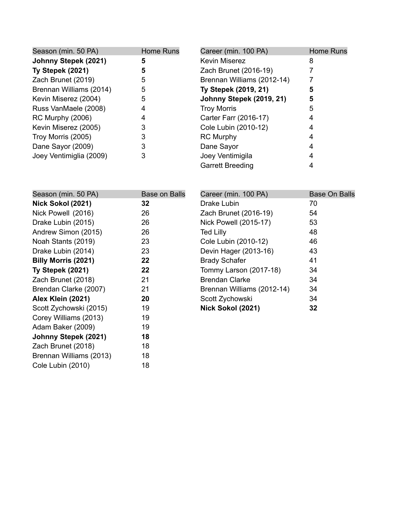| Season (min. 50 PA)     | <b>Home Runs</b> | Career (min. 100 PA)       | Home Runs |
|-------------------------|------------------|----------------------------|-----------|
| Johnny Stepek (2021)    |                  | <b>Kevin Miserez</b>       |           |
| Ty Stepek (2021)        | 5                | Zach Brunet (2016-19)      |           |
| Zach Brunet (2019)      | 5                | Brennan Williams (2012-14) |           |
| Brennan Williams (2014) | 5                | Ty Stepek (2019, 21)       | 5         |
| Kevin Miserez (2004)    | 5                | Johnny Stepek (2019, 21)   | 5         |
| Russ VanMaele (2008)    | 4                | <b>Troy Morris</b>         | 5         |
| RC Murphy (2006)        | 4                | Carter Farr (2016-17)      |           |
| Kevin Miserez (2005)    |                  | Cole Lubin (2010-12)       |           |
| Troy Morris (2005)      |                  | <b>RC Murphy</b>           |           |
| Dane Sayor (2009)       | 3                | Dane Sayor                 |           |
| Joey Ventimiglia (2009) | 3                | Joey Ventimigila           |           |
|                         |                  | <b>Garrett Breeding</b>    |           |

| Season (min. 50 PA)        | <b>Base on Balls</b> | Career (min. 100 PA)       | <b>Base On Balls</b> |
|----------------------------|----------------------|----------------------------|----------------------|
| Nick Sokol (2021)          | 32                   | Drake Lubin                | 70                   |
| Nick Powell (2016)         | 26                   | Zach Brunet (2016-19)      | 54                   |
| Drake Lubin (2015)         | 26                   | Nick Powell (2015-17)      | 53                   |
| Andrew Simon (2015)        | 26                   | <b>Ted Lilly</b>           | 48                   |
| Noah Stants (2019)         | 23                   | Cole Lubin (2010-12)       | 46                   |
| Drake Lubin (2014)         | 23                   | Devin Hager (2013-16)      | 43                   |
| <b>Billy Morris (2021)</b> | 22                   | <b>Brady Schafer</b>       | 41                   |
| Ty Stepek (2021)           | 22                   | Tommy Larson (2017-18)     | 34                   |
| Zach Brunet (2018)         | 21                   | <b>Brendan Clarke</b>      | 34                   |
| Brendan Clarke (2007)      | 21                   | Brennan Williams (2012-14) | 34                   |
| Alex Klein (2021)          | 20                   | Scott Zychowski            | 34                   |
| Scott Zychowski (2015)     | 19                   | Nick Sokol (2021)          | 32                   |
| Corey Williams (2013)      | 19                   |                            |                      |
| Adam Baker (2009)          | 19                   |                            |                      |
| Johnny Stepek (2021)       | 18                   |                            |                      |
| Zach Brunet (2018)         | 18                   |                            |                      |
| Brennan Williams (2013)    | 18                   |                            |                      |
| Cole Lubin (2010)          | 18                   |                            |                      |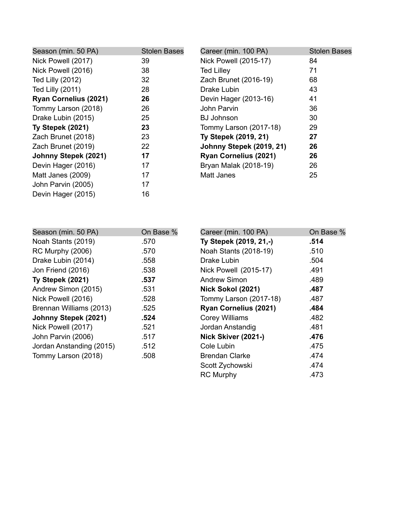| <b>Stolen Bases</b> | Career (min. 100 PA)         | <b>Stolen Bases</b> |
|---------------------|------------------------------|---------------------|
| 39                  | Nick Powell (2015-17)        | 84                  |
| 38                  | <b>Ted Lilley</b>            | 71                  |
| 32                  | Zach Brunet (2016-19)        | 68                  |
| 28                  | Drake Lubin                  | 43                  |
| 26                  | Devin Hager (2013-16)        | 41                  |
| 26                  | John Parvin                  | 36                  |
| 25                  | <b>BJ Johnson</b>            | 30                  |
| 23                  | Tommy Larson (2017-18)       | 29                  |
| 23                  | Ty Stepek (2019, 21)         | 27                  |
| 22                  | Johnny Stepek (2019, 21)     | 26                  |
| 17                  | <b>Ryan Cornelius (2021)</b> | 26                  |
| 17                  | Bryan Malak (2018-19)        | 26                  |
| 17                  | <b>Matt Janes</b>            | 25                  |
| 17                  |                              |                     |
| 16                  |                              |                     |
|                     |                              |                     |

| Season (min. 50 PA)      | On Base % | Career (min. 100 PA)   | On Base % |
|--------------------------|-----------|------------------------|-----------|
| Noah Stants (2019)       | .570      | Ty Stepek (2019, 21,-) | .514      |
| RC Murphy (2006)         | .570      | Noah Stants (2018-19)  | .510      |
| Drake Lubin (2014)       | .558      | Drake Lubin            | .504      |
| Jon Friend (2016)        | .538      | Nick Powell (2015-17)  | .491      |
| Ty Stepek (2021)         | .537      | Andrew Simon           | .489      |
| Andrew Simon (2015)      | .531      | Nick Sokol (2021)      | .487      |
| Nick Powell (2016)       | .528      | Tommy Larson (2017-18) | .487      |
| Brennan Williams (2013)  | .525      | Ryan Cornelius (2021)  | .484      |
| Johnny Stepek (2021)     | .524      | <b>Corey Williams</b>  | .482      |
| Nick Powell (2017)       | .521      | Jordan Anstandig       | .481      |
| John Parvin (2006)       | .517      | Nick Skiver (2021-)    | .476      |
| Jordan Anstanding (2015) | .512      | Cole Lubin             | .475      |
| Tommy Larson (2018)      | .508      | <b>Brendan Clarke</b>  | .474      |
|                          |           | Scott Zychowski        | .474      |
|                          |           | <b>RC Murphy</b>       | .473      |
|                          |           |                        |           |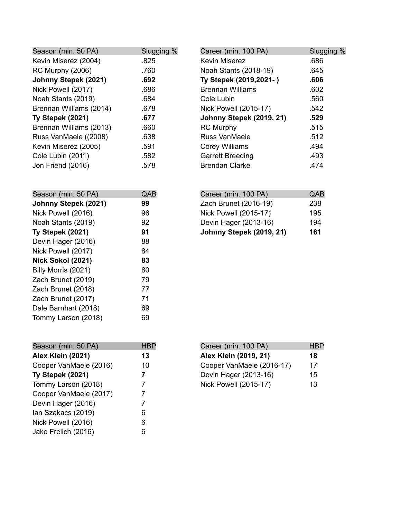| Season (min. 50 PA)     | Slugging % | Career (min. 100 PA)     | Slugging % |
|-------------------------|------------|--------------------------|------------|
| Kevin Miserez (2004)    | .825       | <b>Kevin Miserez</b>     | .686       |
| RC Murphy (2006)        | .760       | Noah Stants (2018-19)    | .645       |
| Johnny Stepek (2021)    | .692       | Ty Stepek (2019,2021-)   | .606       |
| Nick Powell (2017)      | .686       | <b>Brennan Williams</b>  | .602       |
| Noah Stants (2019)      | .684       | Cole Lubin               | .560       |
| Brennan Williams (2014) | .678       | Nick Powell (2015-17)    | .542       |
| Ty Stepek (2021)        | .677       | Johnny Stepek (2019, 21) | .529       |
| Brennan Williams (2013) | .660       | <b>RC Murphy</b>         | .515       |
| Russ VanMaele ((2008)   | .638       | <b>Russ VanMaele</b>     | .512       |
| Kevin Miserez (2005)    | .591       | <b>Corey Williams</b>    | .494       |
| Cole Lubin (2011)       | .582       | <b>Garrett Breeding</b>  | .493       |
| Jon Friend (2016)       | .578       | <b>Brendan Clarke</b>    | .474       |

| Season (min. 50 PA)      |    |
|--------------------------|----|
| Johnny Stepek (2021)     | 99 |
| Nick Powell (2016)       | 96 |
| Noah Stants (2019)       | 92 |
| Ty Stepek (2021)         | 91 |
| Devin Hager (2016)       | 88 |
| Nick Powell (2017)       | 84 |
| <b>Nick Sokol (2021)</b> | 83 |
| Billy Morris (2021)      | 80 |
| Zach Brunet (2019)       | 79 |
| Zach Brunet (2018)       | 77 |
| Zach Brunet (2017)       | 71 |
| Dale Barnhart (2018)     | 69 |
| Tommy Larson (2018)      | 69 |
|                          |    |

| Career (min. 100 PA)            | QAB |
|---------------------------------|-----|
| Zach Brunet (2016-19)           | 238 |
| <b>Nick Powell (2015-17)</b>    | 195 |
| Devin Hager (2013-16)           | 194 |
| <b>Johnny Stepek (2019, 21)</b> | 161 |

| Season (min. 50 PA)    | <b>HB</b> |
|------------------------|-----------|
| Alex Klein (2021)      | 13        |
| Cooper VanMaele (2016) | 10        |
| Ty Stepek (2021)       | 7         |
| Tommy Larson (2018)    | 7         |
| Cooper VanMaele (2017) | 7         |
| Devin Hager (2016)     | 7         |
| lan Szakacs (2019)     | 6         |
| Nick Powell (2016)     | 6         |
| Jake Frelich (2016)    | 6         |

| Career (min. 100 PA)         | <b>HBP</b> |
|------------------------------|------------|
| Alex Klein (2019, 21)        | 18         |
| Cooper VanMaele (2016-17)    | 17         |
| Devin Hager (2013-16)        | 15         |
| <b>Nick Powell (2015-17)</b> | 13         |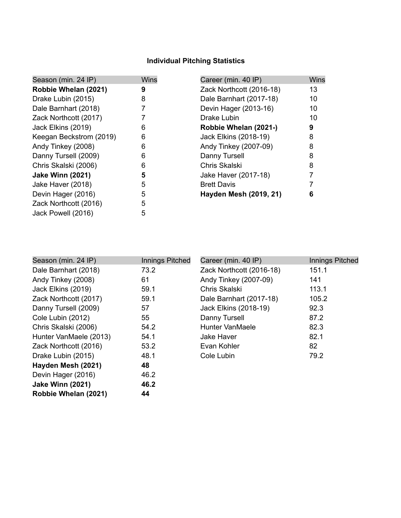### **Individual Pitching Statistics**

| Season (min. 24 IP)     | <b>Wins</b> | Career (min. 40 IP)      | <b>Wins</b> |
|-------------------------|-------------|--------------------------|-------------|
| Robbie Whelan (2021)    | 9           | Zack Northcott (2016-18) | 13          |
| Drake Lubin (2015)      | 8           | Dale Barnhart (2017-18)  | 10          |
| Dale Barnhart (2018)    |             | Devin Hager (2013-16)    | 10          |
| Zack Northcott (2017)   |             | Drake Lubin              | 10          |
| Jack Elkins (2019)      | 6           | Robbie Whelan (2021-)    | 9           |
| Keegan Beckstrom (2019) | 6           | Jack Elkins (2018-19)    | 8           |
| Andy Tinkey (2008)      | 6           | Andy Tinkey (2007-09)    | 8           |
| Danny Tursell (2009)    | 6           | Danny Tursell            | 8           |
| Chris Skalski (2006)    | 6           | Chris Skalski            | 8           |
| <b>Jake Winn (2021)</b> | 5           | Jake Haver (2017-18)     |             |
| Jake Haver (2018)       | 5           | <b>Brett Davis</b>       |             |
| Devin Hager (2016)      | 5           | Hayden Mesh (2019, 21)   | 6           |
| Zack Northcott (2016)   | 5           |                          |             |
| Jack Powell (2016)      | 5           |                          |             |

| Season (min. 24 IP)     | Innings Pitched | Career (min. 40 IP)      | <b>Innings Pitched</b> |
|-------------------------|-----------------|--------------------------|------------------------|
| Dale Barnhart (2018)    | 73.2            | Zack Northcott (2016-18) | 151.1                  |
| Andy Tinkey (2008)      | 61              | Andy Tinkey (2007-09)    | 141                    |
| Jack Elkins (2019)      | 59.1            | Chris Skalski            | 113.1                  |
| Zack Northcott (2017)   | 59.1            | Dale Barnhart (2017-18)  | 105.2                  |
| Danny Tursell (2009)    | 57              | Jack Elkins (2018-19)    | 92.3                   |
| Cole Lubin (2012)       | 55              | Danny Tursell            | 87.2                   |
| Chris Skalski (2006)    | 54.2            | <b>Hunter VanMaele</b>   | 82.3                   |
| Hunter VanMaele (2013)  | 54.1            | Jake Haver               | 82.1                   |
| Zack Northcott (2016)   | 53.2            | Evan Kohler              | 82                     |
| Drake Lubin (2015)      | 48.1            | Cole Lubin               | 79.2                   |
| Hayden Mesh (2021)      | 48              |                          |                        |
| Devin Hager (2016)      | 46.2            |                          |                        |
| <b>Jake Winn (2021)</b> | 46.2            |                          |                        |
| Robbie Whelan (2021)    | 44              |                          |                        |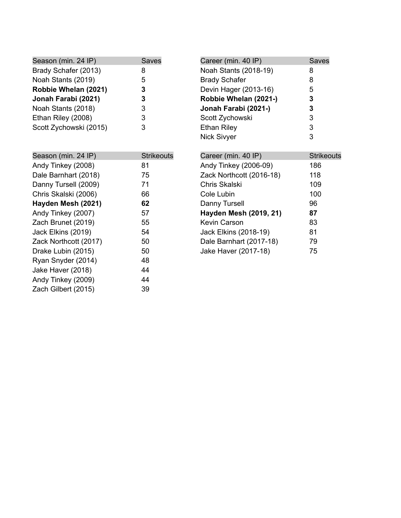| Season (min. 24 IP)    | <b>Saves</b> | Career (min. 40 IP)   | Saves |
|------------------------|--------------|-----------------------|-------|
| Brady Schafer (2013)   | 8            | Noah Stants (2018-19) | 8     |
| Noah Stants (2019)     | 5            | <b>Brady Schafer</b>  | 8     |
| Robbie Whelan (2021)   | 3            | Devin Hager (2013-16) | 5     |
| Jonah Farabi (2021)    |              | Robbie Whelan (2021-) | 3     |
| Noah Stants (2018)     |              | Jonah Farabi (2021-)  | 3     |
| Ethan Riley (2008)     |              | Scott Zychowski       | 3     |
| Scott Zychowski (2015) | 3            | <b>Ethan Riley</b>    | 3     |
|                        |              | <b>Nick Sivyer</b>    | 3     |

| Season (min. 24 IP)   | <b>Strikeouts</b> |
|-----------------------|-------------------|
| Andy Tinkey (2008)    | 81                |
| Dale Barnhart (2018)  | 75                |
| Danny Tursell (2009)  | 71                |
| Chris Skalski (2006)  | 66                |
| Hayden Mesh (2021)    | 62                |
| Andy Tinkey (2007)    | 57                |
| Zach Brunet (2019)    | 55                |
| Jack Elkins (2019)    | 54                |
| Zack Northcott (2017) | 50                |
| Drake Lubin (2015)    | 50                |
| Ryan Snyder (2014)    | 48                |
| Jake Haver (2018)     | 44                |
| Andy Tinkey (2009)    | 44                |
| Zach Gilbert (2015)   | 39                |

| Career (min. 40 IP)      | <b>Strikeouts</b> |
|--------------------------|-------------------|
| Andy Tinkey (2006-09)    | 186               |
| Zack Northcott (2016-18) | 118               |
| Chris Skalski            | 109               |
| Cole Lubin               | 100               |
| Danny Tursell            | 96                |
| Hayden Mesh (2019, 21)   | 87                |
| <b>Kevin Carson</b>      | 83                |
| Jack Elkins (2018-19)    | 81                |
| Dale Barnhart (2017-18)  | 79                |
| Jake Haver (2017-18)     | 75                |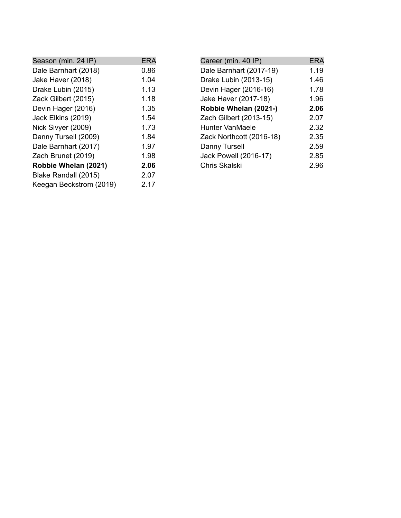| Season (min. 24 IP)     | <b>ERA</b> | Career        |
|-------------------------|------------|---------------|
| Dale Barnhart (2018)    | 0.86       | Dale B        |
| Jake Haver (2018)       | 1.04       | Drake         |
| Drake Lubin (2015)      | 1.13       | Devin I       |
| Zack Gilbert (2015)     | 1.18       | Jake H        |
| Devin Hager (2016)      | 1.35       | <b>Robbio</b> |
| Jack Elkins (2019)      | 1.54       | Zach G        |
| Nick Sivyer (2009)      | 1.73       | Hunter        |
| Danny Tursell (2009)    | 1.84       | Zack N        |
| Dale Barnhart (2017)    | 1.97       | Danny         |
| Zach Brunet (2019)      | 1.98       | Jack P        |
| Robbie Whelan (2021)    | 2.06       | Chris S       |
| Blake Randall (2015)    | 2.07       |               |
| Keegan Beckstrom (2019) | 2.17       |               |
|                         |            |               |

| Career (min. 40 IP)      | <b>ERA</b> |
|--------------------------|------------|
| Dale Barnhart (2017-19)  | 1.19       |
| Drake Lubin (2013-15)    | 1.46       |
| Devin Hager (2016-16)    | 1.78       |
| Jake Haver (2017-18)     | 1.96       |
| Robbie Whelan (2021-)    | 2.06       |
| Zach Gilbert (2013-15)   | 2.07       |
| Hunter VanMaele          | 2.32       |
| Zack Northcott (2016-18) | 2.35       |
| Danny Tursell            | 2.59       |
| Jack Powell (2016-17)    | 2.85       |
| Chris Skalski            | 2.96       |

L.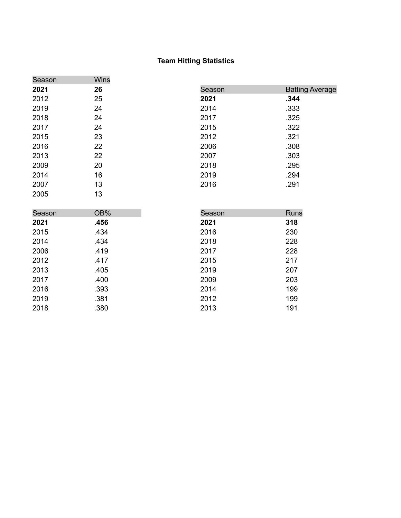#### **Team Hitting Statistics**

| Season | Wins |        |                        |
|--------|------|--------|------------------------|
| 2021   | 26   | Season | <b>Batting Average</b> |
| 2012   | 25   | 2021   | .344                   |
| 2019   | 24   | 2014   | .333                   |
| 2018   | 24   | 2017   | .325                   |
| 2017   | 24   | 2015   | .322                   |
| 2015   | 23   | 2012   | .321                   |
| 2016   | 22   | 2006   | .308                   |
| 2013   | 22   | 2007   | .303                   |
| 2009   | 20   | 2018   | .295                   |
| 2014   | 16   | 2019   | .294                   |
| 2007   | 13   | 2016   | .291                   |
| 2005   | 13   |        |                        |
|        |      |        |                        |
| Season | OB%  | Season | <b>Runs</b>            |
| 2021   | .456 | 2021   | 318                    |
| 2015   | .434 | 2016   | 230                    |
| 2014   | .434 | 2018   | 228                    |
| 2006   | .419 | 2017   | 228                    |
| 2012   | .417 | 2015   | 217                    |
| 2013   | .405 | 2019   | 207                    |
| 2017   | .400 | 2009   | 203                    |
| 2016   | .393 | 2014   | 199                    |
| 2019   | .381 | 2012   | 199                    |
|        |      |        |                        |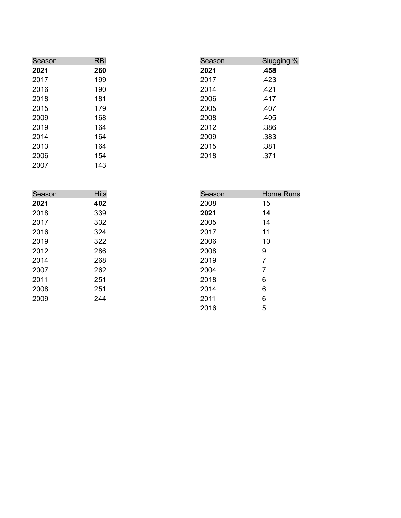| Season | <b>RBI</b> | Season | Slugging % |
|--------|------------|--------|------------|
| 2021   | 260        | 2021   | .458       |
| 2017   | 199        | 2017   | .423       |
| 2016   | 190        | 2014   | .421       |
| 2018   | 181        | 2006   | .417       |
| 2015   | 179        | 2005   | .407       |
| 2009   | 168        | 2008   | .405       |
| 2019   | 164        | 2012   | .386       |
| 2014   | 164        | 2009   | .383       |
| 2013   | 164        | 2015   | .381       |
| 2006   | 154        | 2018   | .371       |
| 2007   | 143        |        |            |

| Season | <b>Hits</b> | Season | <b>Home Runs</b> |
|--------|-------------|--------|------------------|
| 2021   | 402         | 2008   | 15               |
| 2018   | 339         | 2021   | 14               |
| 2017   | 332         | 2005   | 14               |
| 2016   | 324         | 2017   | 11               |
| 2019   | 322         | 2006   | 10               |
| 2012   | 286         | 2008   | 9                |
| 2014   | 268         | 2019   | 7                |
| 2007   | 262         | 2004   | 7                |
| 2011   | 251         | 2018   | 6                |
| 2008   | 251         | 2014   | 6                |
| 2009   | 244         | 2011   | 6                |
|        |             | 2016   | 5                |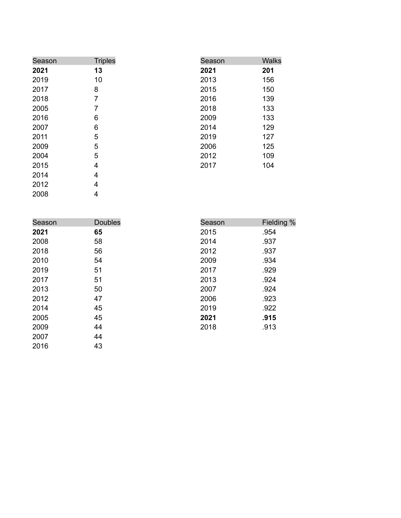| Season | <b>Triples</b> | Season | <b>Walks</b> |
|--------|----------------|--------|--------------|
| 2021   | 13             | 2021   | 201          |
| 2019   | 10             | 2013   | 156          |
| 2017   | 8              | 2015   | 150          |
| 2018   | 7              | 2016   | 139          |
| 2005   | 7              | 2018   | 133          |
| 2016   | 6              | 2009   | 133          |
| 2007   | 6              | 2014   | 129          |
| 2011   | 5              | 2019   | 127          |
| 2009   | 5              | 2006   | 125          |
| 2004   | 5              | 2012   | 109          |
| 2015   | 4              | 2017   | 104          |
| 2014   | 4              |        |              |
| 2012   | 4              |        |              |

0 0 8

| Season | <b>Doubles</b> | Season | Fielding % |
|--------|----------------|--------|------------|
| 2021   | 65             | 2015   | .954       |
| 2008   | 58             | 2014   | .937       |
| 2018   | 56             | 2012   | .937       |
| 2010   | 54             | 2009   | .934       |
| 2019   | 51             | 2017   | .929       |
| 2017   | 51             | 2013   | .924       |
| 2013   | 50             | 2007   | .924       |
| 2012   | 47             | 2006   | .923       |
| 2014   | 45             | 2019   | .922       |
| 2005   | 45             | 2021   | .915       |
| 2009   | 44             | 2018   | .913       |
| 2007   | 44             |        |            |
| 2016   | 43             |        |            |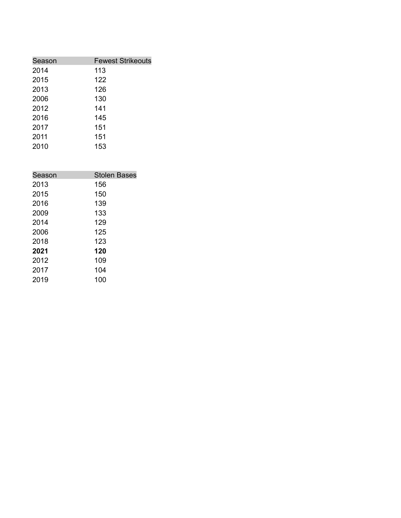| Season | <b>Fewest Strikeouts</b> |
|--------|--------------------------|
| 2014   | 113                      |
| 2015   | 122                      |
| 2013   | 126                      |
| 2006   | 130                      |
| 2012   | 141                      |
| 2016   | 145                      |
| 2017   | 151                      |
| 2011   | 151                      |
| 2010   | 153                      |

| Season | <b>Stolen Bases</b> |
|--------|---------------------|
| 2013   | 156                 |
| 2015   | 150                 |
| 2016   | 139                 |
| 2009   | 133                 |
| 2014   | 129                 |
| 2006   | 125                 |
| 2018   | 123                 |
| 2021   | 120                 |
| 2012   | 109                 |
| 2017   | 104                 |
| 2019   | 100                 |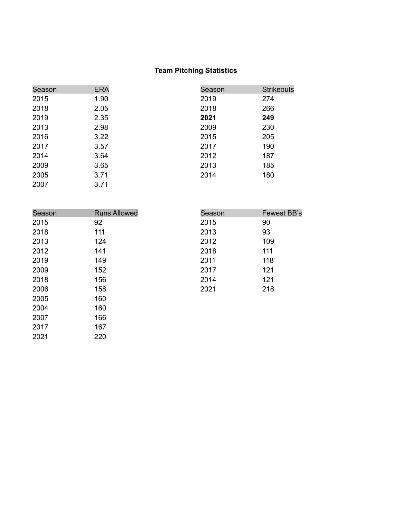# **Team Pitching Statistics**

| Season | <b>ERA</b> | Season | <b>Strikeouts</b> |
|--------|------------|--------|-------------------|
| 2015   | 1.90       | 2019   | 274               |
| 2018   | 2.05       | 2018   | 266               |
| 2019   | 2.35       | 2021   | 249               |
| 2013   | 2.98       | 2009   | 230               |
| 2016   | 3.22       | 2015   | 205               |
| 2017   | 3.57       | 2017   | 190               |
| 2014   | 3.64       | 2012   | 187               |
| 2009   | 3.65       | 2013   | 185               |
| 2005   | 3.71       | 2014   | 180               |
| 2007   | 3.71       |        |                   |

220

| Season | <b>Runs Allowed</b> | Season | <b>Fewest BB's</b> |
|--------|---------------------|--------|--------------------|
| 2015   | 92                  | 2015   | 90                 |
| 2018   | 111                 | 2013   | 93                 |
| 2013   | 124                 | 2012   | 109                |
| 2012   | 141                 | 2018   | 111                |
| 2019   | 149                 | 2011   | 118                |
| 2009   | 152                 | 2017   | 121                |
| 2018   | 156                 | 2014   | 121                |
| 2006   | 158                 | 2021   | 218                |
| 2005   | 160                 |        |                    |
| 2004   | 160                 |        |                    |
| 2007   | 166                 |        |                    |
| 2017   | 167                 |        |                    |